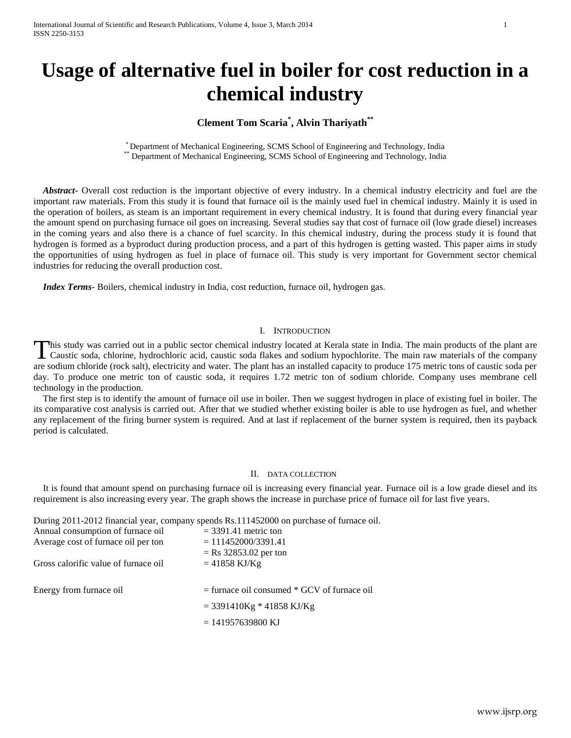# **Usage of alternative fuel in boiler for cost reduction in a chemical industry**

# **Clement Tom Scaria\* , Alvin Thariyath\*\***

\* Department of Mechanical Engineering, SCMS School of Engineering and Technology, India Department of Mechanical Engineering, SCMS School of Engineering and Technology, India

 *Abstract***-** Overall cost reduction is the important objective of every industry. In a chemical industry electricity and fuel are the important raw materials. From this study it is found that furnace oil is the mainly used fuel in chemical industry. Mainly it is used in the operation of boilers, as steam is an important requirement in every chemical industry. It is found that during every financial year the amount spend on purchasing furnace oil goes on increasing. Several studies say that cost of furnace oil (low grade diesel) increases in the coming years and also there is a chance of fuel scarcity. In this chemical industry, during the process study it is found that hydrogen is formed as a byproduct during production process, and a part of this hydrogen is getting wasted. This paper aims in study the opportunities of using hydrogen as fuel in place of furnace oil. This study is very important for Government sector chemical industries for reducing the overall production cost.

 *Index Terms*- Boilers, chemical industry in India, cost reduction, furnace oil, hydrogen gas.

### I. INTRODUCTION

This study was carried out in a public sector chemical industry located at Kerala state in India. The main products of the plant are This study was carried out in a public sector chemical industry located at Kerala state in India. The main products of the plant are Caustic soda, chlorine, hydrochloric acid, caustic soda flakes and sodium hypochlorite. T are sodium chloride (rock salt), electricity and water. The plant has an installed capacity to produce 175 metric tons of caustic soda per day. To produce one metric ton of caustic soda, it requires 1.72 metric ton of sodium chloride. Company uses membrane cell technology in the production.

 The first step is to identify the amount of furnace oil use in boiler. Then we suggest hydrogen in place of existing fuel in boiler. The its comparative cost analysis is carried out. After that we studied whether existing boiler is able to use hydrogen as fuel, and whether any replacement of the firing burner system is required. And at last if replacement of the burner system is required, then its payback period is calculated.

#### II. DATA COLLECTION

 It is found that amount spend on purchasing furnace oil is increasing every financial year. Furnace oil is a low grade diesel and its requirement is also increasing every year. The graph shows the increase in purchase price of furnace oil for last five years.

During 2011-2012 financial year, company spends Rs.111452000 on purchase of furnace oil.

| Annual consumption of furnace oil    | $=$ 3391.41 metric ton                           |
|--------------------------------------|--------------------------------------------------|
| Average cost of furnace oil per ton  | $= 111452000/3391.41$<br>$=$ Rs 32853.02 per ton |
| Gross calorific value of furnace oil | $= 41858$ KJ/Kg                                  |
|                                      |                                                  |
|                                      |                                                  |
| Energy from furnace oil              | $=$ furnace oil consumed $*$ GCV of furnace oil  |
|                                      | $=$ 3391410Kg * 41858 KJ/Kg                      |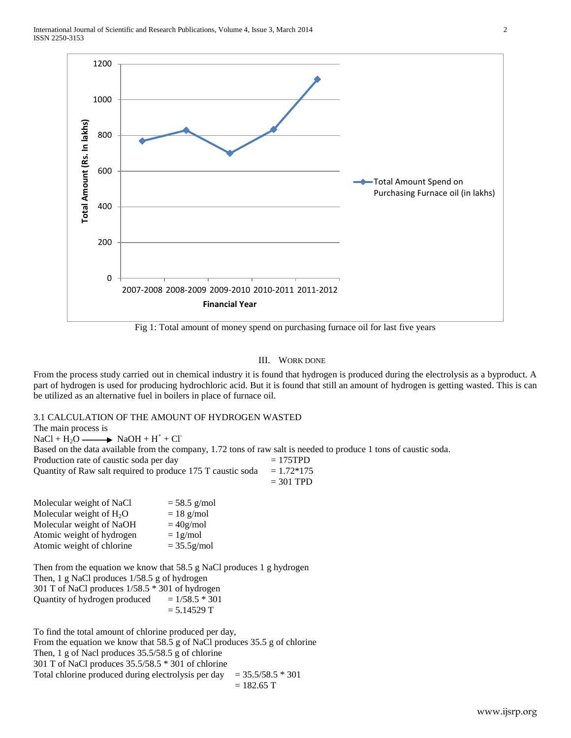

Fig 1: Total amount of money spend on purchasing furnace oil for last five years

# III. WORK DONE

From the process study carried out in chemical industry it is found that hydrogen is produced during the electrolysis as a byproduct. A part of hydrogen is used for producing hydrochloric acid. But it is found that still an amount of hydrogen is getting wasted. This is can be utilized as an alternative fuel in boilers in place of furnace oil.

## 3.1 CALCULATION OF THE AMOUNT OF HYDROGEN WASTED

The main process is  $NaCl + H_2O \longrightarrow NaOH + H^+ + Cl^-$ Based on the data available from the company, 1.72 tons of raw salt is needed to produce 1 tons of caustic soda. Production rate of caustic soda per day  $= 175 \text{TPD}$ Quantity of Raw salt required to produce 175 T caustic soda =  $1.72*175$ = 301 TPD

| Molecular weight of NaCl   | $= 58.5$ g/mol |
|----------------------------|----------------|
| Molecular weight of $H_2O$ | $= 18$ g/mol   |
| Molecular weight of NaOH   | $= 40$ g/mol   |
| Atomic weight of hydrogen  | $= 1$ g/mol    |
| Atomic weight of chlorine  | $= 35.5$ g/mol |
|                            |                |

Then from the equation we know that 58.5 g NaCl produces 1 g hydrogen Then, 1 g NaCl produces 1/58.5 g of hydrogen 301 T of NaCl produces 1/58.5 \* 301 of hydrogen Quantity of hydrogen produced  $= 1/58.5 * 301$  $= 5.14529$  T

To find the total amount of chlorine produced per day, From the equation we know that 58.5 g of NaCl produces 35.5 g of chlorine Then, 1 g of Nacl produces 35.5/58.5 g of chlorine 301 T of NaCl produces 35.5/58.5 \* 301 of chlorine Total chlorine produced during electrolysis per day  $= 35.5/58.5 * 301$  $= 182.65$  T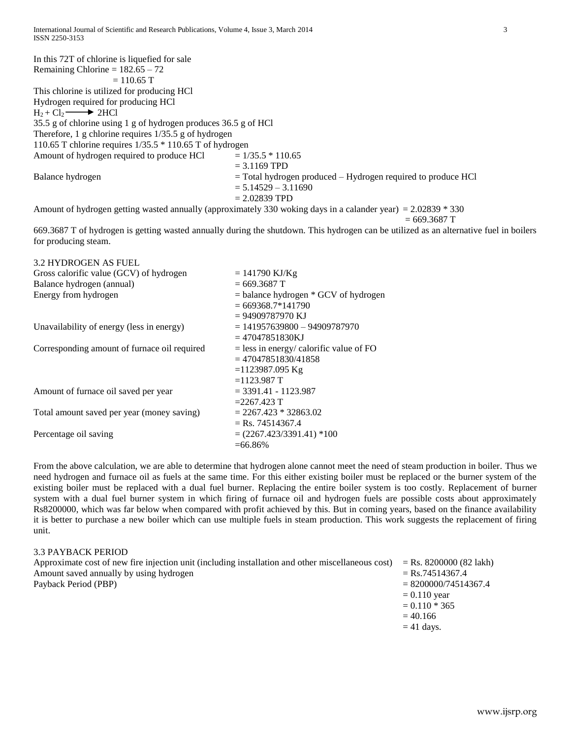In this 72T of chlorine is liquefied for sale Remaining Chlorine =  $182.65 - 72$  $= 110.65$  T This chlorine is utilized for producing HCl Hydrogen required for producing HCl  $H_2 + Cl_2 \longrightarrow 2HCl$ 35.5 g of chlorine using 1 g of hydrogen produces 36.5 g of HCl Therefore, 1 g chlorine requires 1/35.5 g of hydrogen 110.65 T chlorine requires 1/35.5 \* 110.65 T of hydrogen Amount of hydrogen required to produce HCl  $= 1/35.5 * 110.65$  $= 3.1169$  TPD Balance hydrogen  $=$  Total hydrogen produced – Hydrogen required to produce HCl  $= 5.14529 - 3.11690$  $= 2.02839$  TPD

Amount of hydrogen getting wasted annually (approximately 330 woking days in a calander year) = 2.02839 \* 330

 $= 669.3687$  T

669.3687 T of hydrogen is getting wasted annually during the shutdown. This hydrogen can be utilized as an alternative fuel in boilers for producing steam.

| 3.2 HYDROGEN AS FUEL                         |                                                                 |
|----------------------------------------------|-----------------------------------------------------------------|
| Gross calorific value (GCV) of hydrogen      | $= 141790$ KJ/Kg                                                |
| Balance hydrogen (annual)                    | $= 669.3687$ T                                                  |
| Energy from hydrogen                         | $=$ balance hydrogen $*$ GCV of hydrogen<br>$= 669368.7*141790$ |
|                                              | $= 94909787970$ KJ                                              |
| Unavailability of energy (less in energy)    | $= 141957639800 - 94909787970$                                  |
|                                              | $= 47047851830KJ$                                               |
| Corresponding amount of furnace oil required | $=$ less in energy/ calorific value of FO                       |
|                                              | $= 47047851830/41858$                                           |
|                                              | $=1123987.095$ Kg                                               |
|                                              | $=1123.987$ T                                                   |
| Amount of furnace oil saved per year         | $=$ 3391.41 - 1123.987                                          |
|                                              | $= 2267.423$ T                                                  |
| Total amount saved per year (money saving)   | $= 2267.423 * 32863.02$                                         |
|                                              | $=$ Rs. 74514367.4                                              |
| Percentage oil saving                        | $=(2267.423/3391.41)*100$                                       |
|                                              | $= 66.86\%$                                                     |

From the above calculation, we are able to determine that hydrogen alone cannot meet the need of steam production in boiler. Thus we need hydrogen and furnace oil as fuels at the same time. For this either existing boiler must be replaced or the burner system of the existing boiler must be replaced with a dual fuel burner. Replacing the entire boiler system is too costly. Replacement of burner system with a dual fuel burner system in which firing of furnace oil and hydrogen fuels are possible costs about approximately Rs8200000, which was far below when compared with profit achieved by this. But in coming years, based on the finance availability it is better to purchase a new boiler which can use multiple fuels in steam production. This work suggests the replacement of firing unit.

# 3.3 PAYBACK PERIOD

| Approximate cost of new fire injection unit (including installation and other miscellaneous cost) | $=$ Rs. 8200000 (82 lakh) |
|---------------------------------------------------------------------------------------------------|---------------------------|
| Amount saved annually by using hydrogen                                                           | $=$ Rs.74514367.4         |
| Payback Period (PBP)                                                                              | $= 8200000/74514367.4$    |
|                                                                                                   | $= 0.110$ year            |
|                                                                                                   | $= 0.110 * 365$           |
|                                                                                                   | $= 40.166$                |
|                                                                                                   | $= 41$ days.              |
|                                                                                                   |                           |